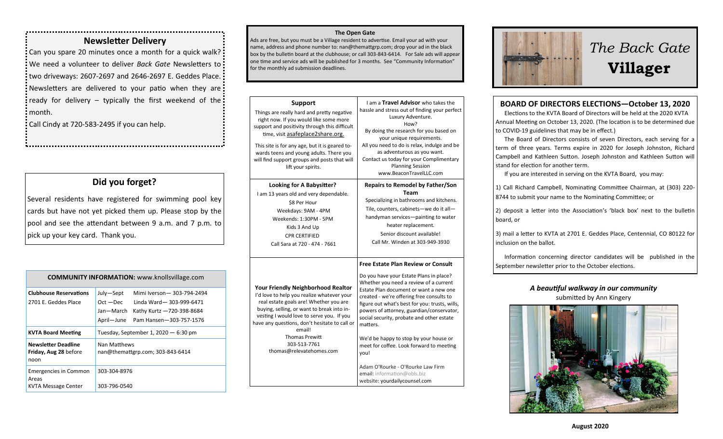### **Newsletter Delivery**

Can you spare 20 minutes once a month for a quick walk? We need a volunteer to deliver *Back Gate* Newsletters to two driveways: 2607-2697 and 2646-2697 E. Geddes Place. Newsletters are delivered to your patio when they are: ready for delivery - typically the first weekend of the: month.

Call Cindy at 720-583-2495 if you can help.

## **Did you forget?**

Several residents have registered for swimming pool key cards but have not yet picked them up. Please stop by the pool and see the attendant between 9 a.m. and 7 p.m. to pick up your key card. Thank you.

| <b>COMMUNITY INFORMATION: www.knollsvillage.com</b>          |                                                                                                                                                                     |  |
|--------------------------------------------------------------|---------------------------------------------------------------------------------------------------------------------------------------------------------------------|--|
| <b>Clubhouse Reservations</b><br>2701 E. Geddes Place        | Mimi Iverson-303-794-2494<br>July-Sept<br>$Oct - Dec$<br>Linda Ward-303-999-6471<br>Jan—March<br>Kathy Kurtz -720-398-8684<br>April-June<br>Pam Hansen-303-757-1576 |  |
| <b>KVTA Board Meeting</b>                                    | Tuesday, September 1, 2020 $-6:30$ pm                                                                                                                               |  |
| <b>Newsletter Deadline</b><br>Friday, Aug 28 before<br>noon  | Nan Matthews<br>nan@themattgrp.com; 303-843-6414                                                                                                                    |  |
| <b>Emergencies in Common</b><br>Areas<br>KVTA Message Center | 303-304-8976<br>303-796-0540                                                                                                                                        |  |

#### **The Open Gate**

Ads are free, but you must be a Village resident to advertise. Email your ad with your name, address and phone number to: nan@themattgrp.com; drop your ad in the black box by the bulletin board at the clubhouse; or call 303-843-6414. For Sale ads will appear one time and service ads will be published for 3 months. See "Community Information" for the monthly ad submission deadlines.

| <b>Support</b><br>Things are really hard and pretty negative<br>right now. If you would like some more<br>support and positivity through this difficult<br>time, visit asafeplace2share.org.<br>This site is for any age, but it is geared to-<br>wards teens and young adults. There you<br>will find support groups and posts that will<br>lift your spirits. | I am a Travel Advisor who takes the<br>hassle and stress out of finding your perfect<br>Luxury Adventure.<br>How?<br>By doing the research for you based on<br>your unique requirements.<br>All you need to do is relax, indulge and be<br>as adventurous as you want.<br>Contact us today for your Complimentary<br><b>Planning Session</b><br>www.BeaconTravelLLC.com                                                                                                                                                                                                          |
|-----------------------------------------------------------------------------------------------------------------------------------------------------------------------------------------------------------------------------------------------------------------------------------------------------------------------------------------------------------------|----------------------------------------------------------------------------------------------------------------------------------------------------------------------------------------------------------------------------------------------------------------------------------------------------------------------------------------------------------------------------------------------------------------------------------------------------------------------------------------------------------------------------------------------------------------------------------|
| Looking for A Babysitter?<br>I am 13 years old and very dependable.<br>\$8 Per Hour<br>Weekdays: 9AM - 4PM<br>Weekends: 1:30PM - 5PM<br>Kids 3 And Up<br><b>CPR CERTIFIED</b><br>Call Sara at 720 - 474 - 7661                                                                                                                                                  | <b>Repairs to Remodel by Father/Son</b><br>Team<br>Specializing in bathrooms and kitchens.<br>Tile, counters, cabinets-we do it all-<br>handyman services-painting to water<br>heater replacement.<br>Senior discount available!<br>Call Mr. Winden at 303-949-3930                                                                                                                                                                                                                                                                                                              |
| <b>Your Friendly Neighborhood Realtor</b><br>I'd love to help you realize whatever your<br>real estate goals are! Whether you are<br>buying, selling, or want to break into in-<br>vesting I would love to serve you. If you<br>have any questions, don't hesitate to call or<br>email!<br><b>Thomas Prewitt</b><br>303-513-7761<br>thomas@relevatehomes.com    | <b>Free Estate Plan Review or Consult</b><br>Do you have your Estate Plans in place?<br>Whether you need a review of a current<br>Estate Plan document or want a new one<br>created - we're offering free consults to<br>figure out what's best for you: trusts, wills,<br>powers of attorney, guardian/conservator,<br>social security, probate and other estate<br>matters.<br>We'd be happy to stop by your house or<br>meet for coffee. Look forward to meeting<br>you!<br>Adam O'Rourke - O'Rourke Law Firm<br>email: information@obls.biz<br>website: yourdailycounsel.com |



# *The Back Gate*  **Villager**

#### **BOARD OF DIRECTORS ELECTIONS—October 13, 2020**

 Elections to the KVTA Board of Directors will be held at the 2020 KVTA Annual Meeting on October 13, 2020. (The location is to be determined due to COVID-19 guidelines that may be in effect.)

 The Board of Directors consists of seven Directors, each serving for a term of three years. Terms expire in 2020 for Joseph Johnston, Richard Campbell and Kathleen Sutton. Joseph Johnston and Kathleen Sutton will stand for election for another term.

If you are interested in serving on the KVTA Board, you may:

1) Call Richard Campbell, Nominating Committee Chairman, at (303) 220- 8744 to submit your name to the Nominating Committee; or

2) deposit a letter into the Association's 'black box' next to the bulletin board, or

3) mail a letter to KVTA at 2701 E. Geddes Place, Centennial, CO 80122 for inclusion on the ballot.

 Information concerning director candidates will be published in the September newsletter prior to the October elections.

#### *A beautiful walkway in our community* submitted by Ann Kingery